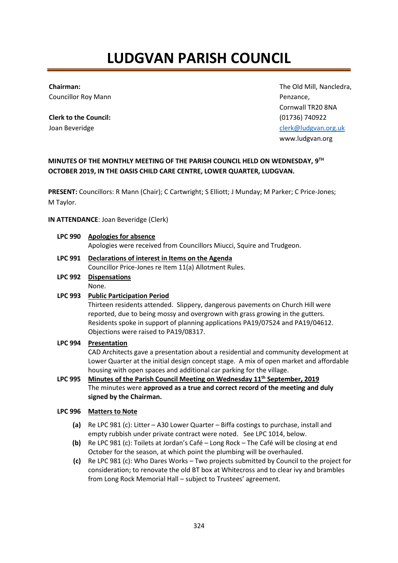# **LUDGVAN PARISH COUNCIL**

#### **Chairman:**

Councillor Roy Mann

**Clerk to the Council:** Joan Beveridge

The Old Mill, Nancledra, Penzance, Cornwall TR20 8NA (01736) 740922 [clerk@ludgvan.org.uk](mailto:ludgvanclerk@btinternet.com) www.ludgvan.org

# **MINUTES OF THE MONTHLY MEETING OF THE PARISH COUNCIL HELD ON WEDNESDAY, 9 TH OCTOBER 2019, IN THE OASIS CHILD CARE CENTRE, LOWER QUARTER, LUDGVAN.**

**PRESENT:** Councillors: R Mann (Chair); C Cartwright; S Elliott; J Munday; M Parker; C Price-Jones; M Taylor.

# **IN ATTENDANCE**: Joan Beveridge (Clerk)

**LPC 990 Apologies for absence**

Apologies were received from Councillors Miucci, Squire and Trudgeon.

- **LPC 991 Declarations of interest in Items on the Agenda** Councillor Price-Jones re Item 11(a) Allotment Rules.
- **LPC 992 Dispensations**  None.

# **LPC 993 Public Participation Period**

Thirteen residents attended. Slippery, dangerous pavements on Church Hill were reported, due to being mossy and overgrown with grass growing in the gutters. Residents spoke in support of planning applications PA19/07524 and PA19/04612. Objections were raised to PA19/08317.

# **LPC 994 Presentation**

CAD Architects gave a presentation about a residential and community development at Lower Quarter at the initial design concept stage. A mix of open market and affordable housing with open spaces and additional car parking for the village.

**LPC 995 Minutes of the Parish Council Meeting on Wednesday 11th September, 2019**  The minutes were **approved as a true and correct record of the meeting and duly signed by the Chairman.**

# **LPC 996 Matters to Note**

- **(a)** Re LPC 981 (c): Litter A30 Lower Quarter Biffa costings to purchase, install and empty rubbish under private contract were noted. See LPC 1014, below.
- **(b)** Re LPC 981 (c): Toilets at Jordan's Café Long Rock The Café will be closing at end October for the season, at which point the plumbing will be overhauled.
- **(c)** Re LPC 981 (c): Who Dares Works Two projects submitted by Council to the project for consideration; to renovate the old BT box at Whitecross and to clear ivy and brambles from Long Rock Memorial Hall – subject to Trustees' agreement.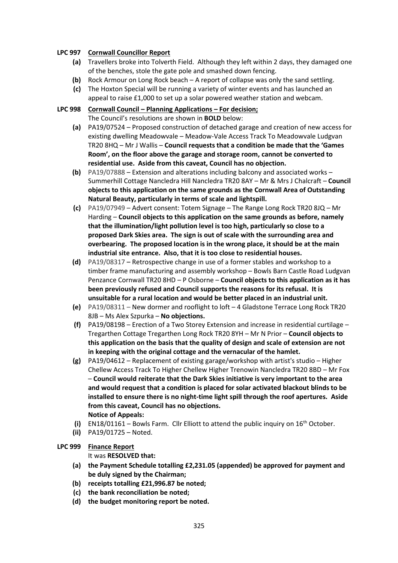# **LPC 997 Cornwall Councillor Report**

- **(a)** Travellers broke into Tolverth Field. Although they left within 2 days, they damaged one of the benches, stole the gate pole and smashed down fencing.
- **(b)** Rock Armour on Long Rock beach A report of collapse was only the sand settling.
- **(c)** The Hoxton Special will be running a variety of winter events and has launched an
	- appeal to raise £1,000 to set up a solar powered weather station and webcam.

# **LPC 998 Cornwall Council – Planning Applications – For decision;**

The Council's resolutions are shown in **BOLD** below:

- **(a)** PA19/07524 Proposed construction of detached garage and creation of new access for existing dwelling Meadowvale – Meadow-Vale Access Track To Meadowvale Ludgvan TR20 8HQ – Mr J Wallis – **Council requests that a condition be made that the 'Games Room', on the floor above the garage and storage room, cannot be converted to residential use. Aside from this caveat, Council has no objection.**
- **(b)** PA19/07888 Extension and alterations including balcony and associated works Summerhill Cottage Nancledra Hill Nancledra TR20 8AY – Mr & Mrs J Chalcraft – **Council objects to this application on the same grounds as the Cornwall Area of Outstanding Natural Beauty, particularly in terms of scale and lightspill.**
- **(c)** PA19/07949 Advert consent: Totem Signage The Range Long Rock TR20 8JQ Mr Harding – **Council objects to this application on the same grounds as before, namely that the illumination/light pollution level is too high, particularly so close to a proposed Dark Skies area. The sign is out of scale with the surrounding area and overbearing. The proposed location is in the wrong place, it should be at the main industrial site entrance. Also, that it is too close to residential houses.**
- **(d)** PA19/08317 **–** Retrospective change in use of a former stables and workshop to a timber frame manufacturing and assembly workshop – Bowls Barn Castle Road Ludgvan Penzance Cornwall TR20 8HD – P Osborne – **Council objects to this application as it has been previously refused and Council supports the reasons for its refusal. It is unsuitable for a rural location and would be better placed in an industrial unit.**
- **(e)** PA19/08311 New dormer and rooflight to loft 4 Gladstone Terrace Long Rock TR20 8JB – Ms Alex Szpurka – **No objections.**
- **(f)** PA19/08198 Erection of a Two Storey Extension and increase in residential curtilage Tregarthen Cottage Tregarthen Long Rock TR20 8YH – Mr N Prior – **Council objects to this application on the basis that the quality of design and scale of extension are not in keeping with the original cottage and the vernacular of the hamlet.**
- **(g)** PA19/04612 Replacement of existing garage/workshop with artist's studio Higher Chellew Access Track To Higher Chellew Higher Trenowin Nancledra TR20 8BD – Mr Fox – **Council would reiterate that the Dark Skies initiative is very important to the area and would request that a condition is placed for solar activated blackout blinds to be installed to ensure there is no night-time light spill through the roof apertures. Aside from this caveat, Council has no objections. Notice of Appeals:**
- **(i)** EN18/01161 Bowls Farm. Cllr Elliott to attend the public inquiry on 16th October.
- **(ii)** PA19/01725 Noted.

# **LPC 999 Finance Report**

It was **RESOLVED that:**

- **(a) the Payment Schedule totalling £2,231.05 (appended) be approved for payment and be duly signed by the Chairman;**
- **(b) receipts totalling £21,996.87 be noted;**
- **(c) the bank reconciliation be noted;**
- **(d) the budget monitoring report be noted.**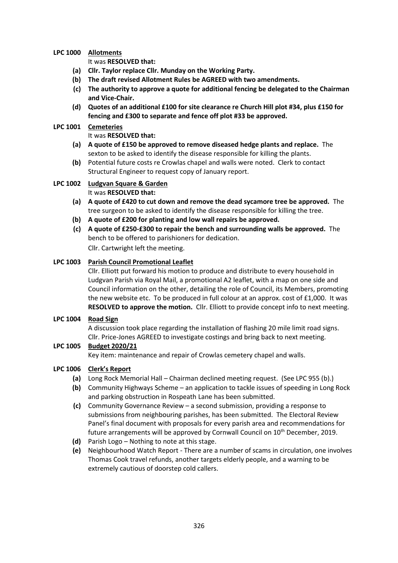# **LPC 1000 Allotments**

It was **RESOLVED that:**

- **(a) Cllr. Taylor replace Cllr. Munday on the Working Party.**
- **(b) The draft revised Allotment Rules be AGREED with two amendments.**
- **(c) The authority to approve a quote for additional fencing be delegated to the Chairman and Vice-Chair.**
- **(d) Quotes of an additional £100 for site clearance re Church Hill plot #34, plus £150 for fencing and £300 to separate and fence off plot #33 be approved.**

# **LPC 1001 Cemeteries**

# It was **RESOLVED that:**

- **(a) A quote of £150 be approved to remove diseased hedge plants and replace.** The sexton to be asked to identify the disease responsible for killing the plants.
- **(b)** Potential future costs re Crowlas chapel and walls were noted. Clerk to contact Structural Engineer to request copy of January report.

#### **LPC 1002 Ludgvan Square & Garden** It was **RESOLVED that:**

- **(a) A quote of £420 to cut down and remove the dead sycamore tree be approved.** The tree surgeon to be asked to identify the disease responsible for killing the tree.
- **(b) A quote of £200 for planting and low wall repairs be approved.**
- **(c) A quote of £250-£300 to repair the bench and surrounding walls be approved.** The bench to be offered to parishioners for dedication. Cllr. Cartwright left the meeting.

# **LPC 1003 Parish Council Promotional Leaflet**

Cllr. Elliott put forward his motion to produce and distribute to every household in Ludgvan Parish via Royal Mail, a promotional A2 leaflet, with a map on one side and Council information on the other, detailing the role of Council, its Members, promoting the new website etc. To be produced in full colour at an approx. cost of £1,000. It was **RESOLVED to approve the motion.** Cllr. Elliott to provide concept info to next meeting.

# **LPC 1004 Road Sign**

A discussion took place regarding the installation of flashing 20 mile limit road signs. Cllr. Price-Jones AGREED to investigate costings and bring back to next meeting.

# **LPC 1005 Budget 2020/21**

Key item: maintenance and repair of Crowlas cemetery chapel and walls.

# **LPC 1006 Clerk's Report**

- **(a)** Long Rock Memorial Hall Chairman declined meeting request. (See LPC 955 (b).)
- **(b)** Community Highways Scheme an application to tackle issues of speeding in Long Rock and parking obstruction in Rospeath Lane has been submitted.
- **(c)** Community Governance Review a second submission, providing a response to submissions from neighbouring parishes, has been submitted. The Electoral Review Panel's final document with proposals for every parish area and recommendations for future arrangements will be approved by Cornwall Council on 10<sup>th</sup> December, 2019.
- **(d)** Parish Logo Nothing to note at this stage.
- **(e)** Neighbourhood Watch Report There are a number of scams in circulation, one involves Thomas Cook travel refunds, another targets elderly people, and a warning to be extremely cautious of doorstep cold callers.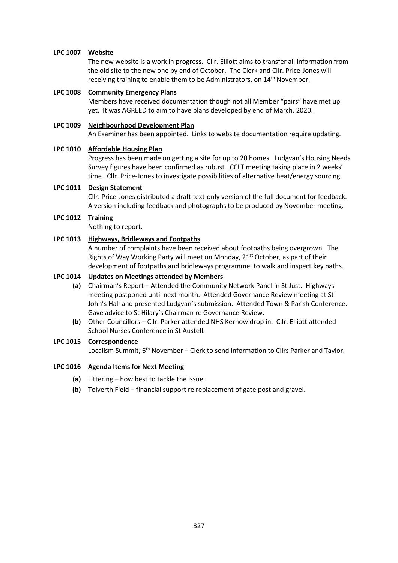# **LPC 1007 Website**

The new website is a work in progress. Cllr. Elliott aims to transfer all information from the old site to the new one by end of October. The Clerk and Cllr. Price-Jones will receiving training to enable them to be Administrators, on 14<sup>th</sup> November.

#### **LPC 1008 Community Emergency Plans**

Members have received documentation though not all Member "pairs" have met up yet. It was AGREED to aim to have plans developed by end of March, 2020.

# **LPC 1009 Neighbourhood Development Plan**

An Examiner has been appointed. Links to website documentation require updating.

#### **LPC 1010 Affordable Housing Plan**

Progress has been made on getting a site for up to 20 homes. Ludgvan's Housing Needs Survey figures have been confirmed as robust. CCLT meeting taking place in 2 weeks' time. Cllr. Price-Jones to investigate possibilities of alternative heat/energy sourcing.

#### **LPC 1011 Design Statement**

Cllr. Price-Jones distributed a draft text-only version of the full document for feedback. A version including feedback and photographs to be produced by November meeting.

#### **LPC 1012 Training**

Nothing to report.

# **LPC 1013 Highways, Bridleways and Footpaths**

A number of complaints have been received about footpaths being overgrown. The Rights of Way Working Party will meet on Monday, 21<sup>st</sup> October, as part of their development of footpaths and bridleways programme, to walk and inspect key paths.

#### **LPC 1014 Updates on Meetings attended by Members**

- **(a)** Chairman's Report Attended the Community Network Panel in St Just. Highways meeting postponed until next month. Attended Governance Review meeting at St John's Hall and presented Ludgvan's submission. Attended Town & Parish Conference. Gave advice to St Hilary's Chairman re Governance Review.
- **(b)** Other Councillors Cllr. Parker attended NHS Kernow drop in. Cllr. Elliott attended School Nurses Conference in St Austell.

# **LPC 1015 Correspondence**

Localism Summit,  $6<sup>th</sup>$  November – Clerk to send information to Cllrs Parker and Taylor.

# **LPC 1016 Agenda Items for Next Meeting**

- **(a)** Littering how best to tackle the issue.
- **(b)** Tolverth Field financial support re replacement of gate post and gravel.